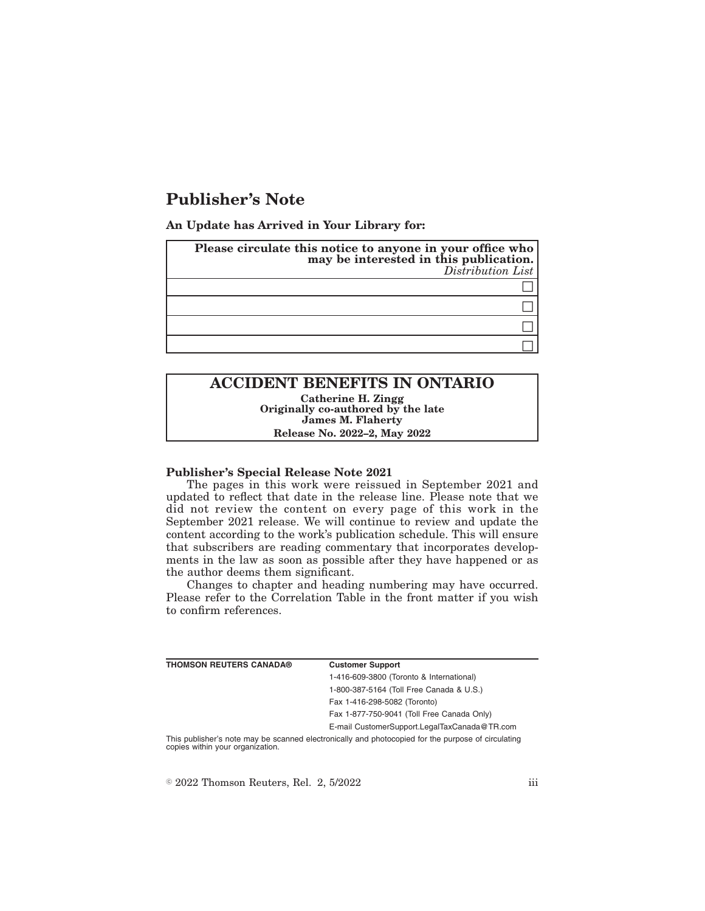# **Publisher's Note**

**An Update has Arrived in Your Library for:**

| Please circulate this notice to anyone in your office who<br>may be interested in this publication.<br>Distribution List |
|--------------------------------------------------------------------------------------------------------------------------|
|                                                                                                                          |
|                                                                                                                          |
|                                                                                                                          |
|                                                                                                                          |

# **ACCIDENT BENEFITS IN ONTARIO Catherine H. Zingg Originally co-authored by the late James M. Flaherty Release No. 2022–2, May 2022**

### **Publisher's Special Release Note 2021**

The pages in this work were reissued in September 2021 and updated to reflect that date in the release line. Please note that we did not review the content on every page of this work in the September 2021 release. We will continue to review and update the content according to the work's publication schedule. This will ensure that subscribers are reading commentary that incorporates developments in the law as soon as possible after they have happened or as the author deems them significant.

Changes to chapter and heading numbering may have occurred. Please refer to the Correlation Table in the front matter if you wish to confirm references.

| THOMSON REUTERS CANADA® | <b>Customer Support</b>                                                                            |
|-------------------------|----------------------------------------------------------------------------------------------------|
|                         | 1-416-609-3800 (Toronto & International)                                                           |
|                         | 1-800-387-5164 (Toll Free Canada & U.S.)                                                           |
|                         | Fax 1-416-298-5082 (Toronto)                                                                       |
|                         | Fax 1-877-750-9041 (Toll Free Canada Only)                                                         |
|                         | E-mail CustomerSupport.LegalTaxCanada@TR.com                                                       |
|                         | This publisher's note may be connect cleatranically and photosopied for the nurnees of circulating |

be scanned electronically and photocopied for the purpose of circulating This publisher's note may be sc<br>copies within your organization.

 $\textdegree$  2022 Thomson Reuters, Rel. 2, 5/2022 iii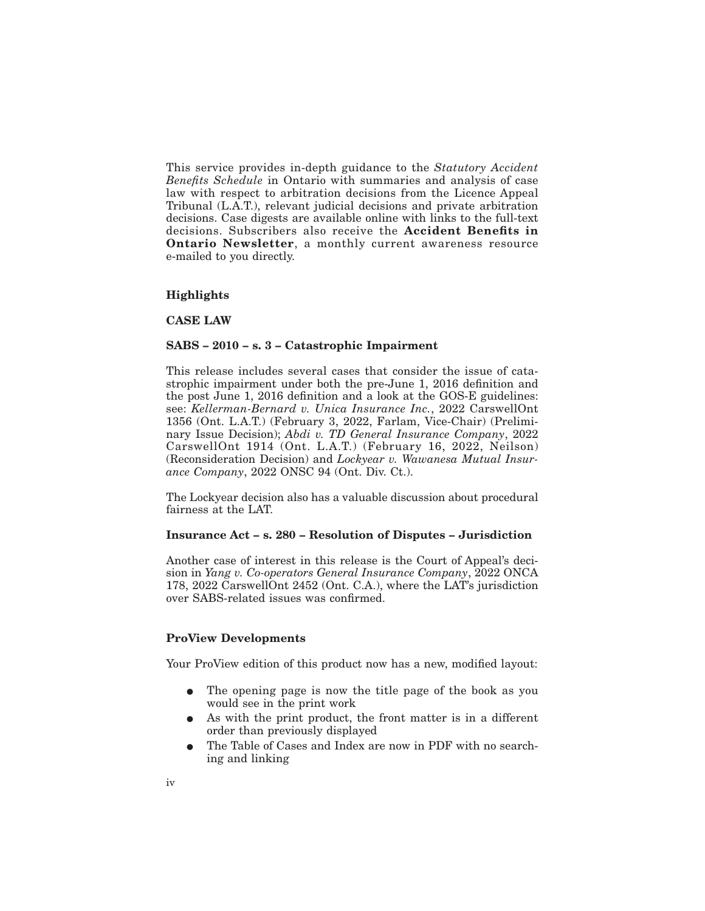This service provides in-depth guidance to the *Statutory Accident Benefits Schedule* in Ontario with summaries and analysis of case law with respect to arbitration decisions from the Licence Appeal Tribunal (L.A.T.), relevant judicial decisions and private arbitration decisions. Case digests are available online with links to the full-text decisions. Subscribers also receive the **Accident Benefits in Ontario Newsletter**, a monthly current awareness resource e-mailed to you directly.

## **Highlights**

**CASE LAW**

## **SABS – 2010 – s. 3 – Catastrophic Impairment**

This release includes several cases that consider the issue of catastrophic impairment under both the pre-June 1, 2016 definition and the post June 1, 2016 definition and a look at the GOS-E guidelines: see: *Kellerman-Bernard v. Unica Insurance Inc.*, 2022 CarswellOnt 1356 (Ont. L.A.T.) (February 3, 2022, Farlam, Vice-Chair) (Preliminary Issue Decision); *Abdi v. TD General Insurance Company*, 2022 CarswellOnt 1914 (Ont. L.A.T.) (February 16, 2022, Neilson) (Reconsideration Decision) and *Lockyear v. Wawanesa Mutual Insurance Company*, 2022 ONSC 94 (Ont. Div. Ct.).

The Lockyear decision also has a valuable discussion about procedural fairness at the LAT.

### **Insurance Act – s. 280 – Resolution of Disputes – Jurisdiction**

Another case of interest in this release is the Court of Appeal's decision in *Yang v. Co-operators General Insurance Company*, 2022 ONCA 178, 2022 CarswellOnt 2452 (Ont. C.A.), where the LAT's jurisdiction over SABS-related issues was confirmed.

## **ProView Developments**

Your ProView edition of this product now has a new, modified layout:

- The opening page is now the title page of the book as you would see in the print work
- As with the print product, the front matter is in a different order than previously displayed
- The Table of Cases and Index are now in PDF with no searching and linking